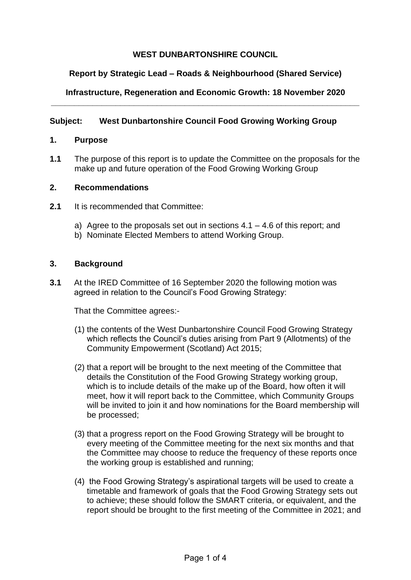# **WEST DUNBARTONSHIRE COUNCIL**

# **Report by Strategic Lead – Roads & Neighbourhood (Shared Service)**

### **Infrastructure, Regeneration and Economic Growth: 18 November 2020 \_\_\_\_\_\_\_\_\_\_\_\_\_\_\_\_\_\_\_\_\_\_\_\_\_\_\_\_\_\_\_\_\_\_\_\_\_\_\_\_\_\_\_\_\_\_\_\_\_\_\_\_\_\_\_\_\_\_\_\_\_\_\_\_\_\_\_**

## **Subject: West Dunbartonshire Council Food Growing Working Group**

### **1. Purpose**

**1.1** The purpose of this report is to update the Committee on the proposals for the make up and future operation of the Food Growing Working Group

### **2. Recommendations**

- **2.1** It is recommended that Committee:
	- a) Agree to the proposals set out in sections  $4.1 4.6$  of this report; and
	- b) Nominate Elected Members to attend Working Group.

## **3. Background**

**3.1** At the IRED Committee of 16 September 2020 the following motion was agreed in relation to the Council's Food Growing Strategy:

That the Committee agrees:-

- (1) the contents of the West Dunbartonshire Council Food Growing Strategy which reflects the Council's duties arising from Part 9 (Allotments) of the Community Empowerment (Scotland) Act 2015;
- (2) that a report will be brought to the next meeting of the Committee that details the Constitution of the Food Growing Strategy working group, which is to include details of the make up of the Board, how often it will meet, how it will report back to the Committee, which Community Groups will be invited to join it and how nominations for the Board membership will be processed;
- (3) that a progress report on the Food Growing Strategy will be brought to every meeting of the Committee meeting for the next six months and that the Committee may choose to reduce the frequency of these reports once the working group is established and running;
- (4) the Food Growing Strategy's aspirational targets will be used to create a timetable and framework of goals that the Food Growing Strategy sets out to achieve; these should follow the SMART criteria, or equivalent, and the report should be brought to the first meeting of the Committee in 2021; and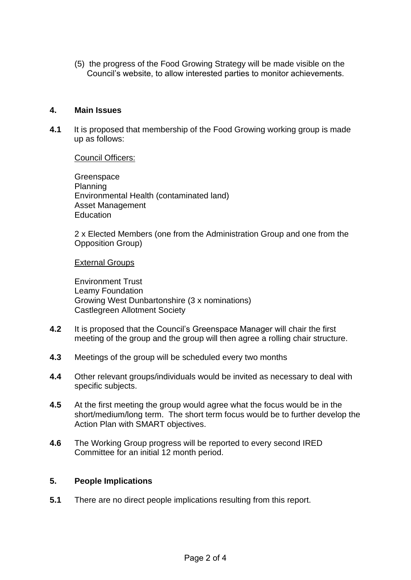(5) the progress of the Food Growing Strategy will be made visible on the Council's website, to allow interested parties to monitor achievements.

### **4. Main Issues**

**4.1** It is proposed that membership of the Food Growing working group is made up as follows:

Council Officers:

Greenspace Planning Environmental Health (contaminated land) Asset Management **Education** 

2 x Elected Members (one from the Administration Group and one from the Opposition Group)

#### External Groups

Environment Trust Leamy Foundation Growing West Dunbartonshire (3 x nominations) Castlegreen Allotment Society

- **4.2** It is proposed that the Council's Greenspace Manager will chair the first meeting of the group and the group will then agree a rolling chair structure.
- **4.3** Meetings of the group will be scheduled every two months
- **4.4** Other relevant groups/individuals would be invited as necessary to deal with specific subjects.
- **4.5** At the first meeting the group would agree what the focus would be in the short/medium/long term. The short term focus would be to further develop the Action Plan with SMART objectives.
- **4.6** The Working Group progress will be reported to every second IRED Committee for an initial 12 month period.

### **5. People Implications**

**5.1** There are no direct people implications resulting from this report.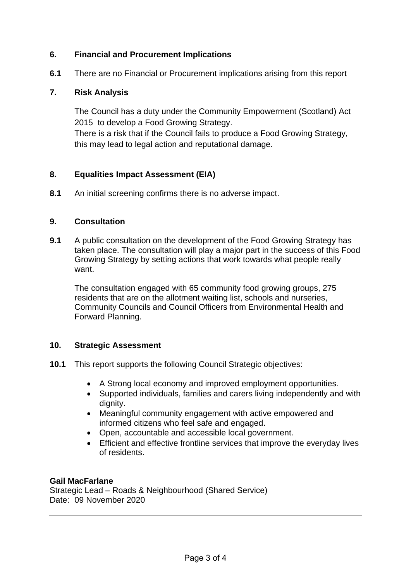## **6. Financial and Procurement Implications**

**6.1** There are no Financial or Procurement implications arising from this report

## **7. Risk Analysis**

The Council has a duty under the Community Empowerment (Scotland) Act 2015 to develop a Food Growing Strategy. There is a risk that if the Council fails to produce a Food Growing Strategy, this may lead to legal action and reputational damage.

## **8. Equalities Impact Assessment (EIA)**

**8.1** An initial screening confirms there is no adverse impact.

## **9. Consultation**

**9.1** A public consultation on the development of the Food Growing Strategy has taken place. The consultation will play a major part in the success of this Food Growing Strategy by setting actions that work towards what people really want.

The consultation engaged with 65 community food growing groups, 275 residents that are on the allotment waiting list, schools and nurseries, Community Councils and Council Officers from Environmental Health and Forward Planning.

## **10. Strategic Assessment**

- **10.1** This report supports the following Council Strategic objectives:
	- A Strong local economy and improved employment opportunities.
	- Supported individuals, families and carers living independently and with dignity.
	- Meaningful community engagement with active empowered and informed citizens who feel safe and engaged.
	- Open, accountable and accessible local government.
	- Efficient and effective frontline services that improve the everyday lives of residents.

### **Gail MacFarlane**

Strategic Lead – Roads & Neighbourhood (Shared Service) Date: 09 November 2020